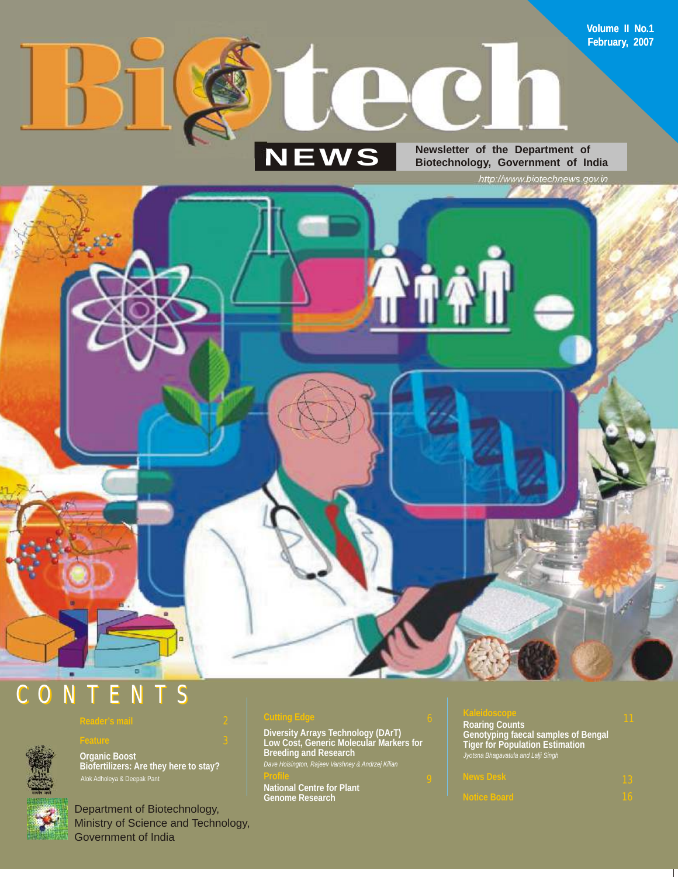# **NEWS**

**Newsletter of the Department of Biotechnology, Government of India**

**DO** 

*http://www.biotechnews.gov.in*

**Volume II No.1 February, 2007**

# C O N T E N T S

**Organic Boost** 

Department of Biotechnology, Ministry of Science and Technology, Government of India

**Biofertilizers: Are they here to stay?**

**Diversity Arrays Technology (DArT) Low Cost, Generic Molecular Markers for Breeding and Research** *Dave Hoisington, Rajeev Varshney & Andrzej Kilian*

**Profile** 9 **National Centre for Plant Genome Research**

#### <sup>11</sup> **Kaleidoscope**

*Jyotsna Bhagavatula and Lalji Singh* **Roaring Counts Genotyping faecal samples of Bengal Tiger for Population Estimation**

**ALGION** 



ъ

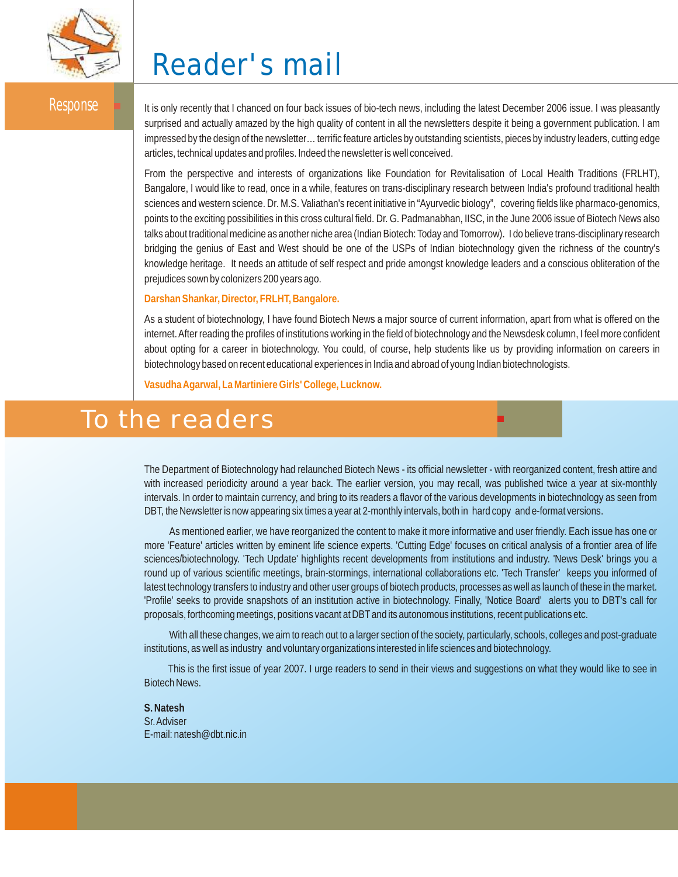

# **Reader's mail**

Response Intis only recently that I chanced on four back issues of bio-tech news, including the latest December 2006 issue. I was pleasantly surprised and actually amazed by the high quality of content in all the newsletters despite it being a government publication. I am impressed by the design of the newsletter… terrific feature articles by outstanding scientists, pieces by industry leaders, cutting edge articles, technical updates and profiles. Indeed the newsletter is well conceived.

> From the perspective and interests of organizations like Foundation for Revitalisation of Local Health Traditions (FRLHT), Bangalore, I would like to read, once in a while, features on trans-disciplinary research between India's profound traditional health sciences and western science. Dr. M.S. Valiathan's recent initiative in "Ayurvedic biology", covering fields like pharmaco-genomics, points to the exciting possibilities in this cross cultural field. Dr. G. Padmanabhan, IISC, in the June 2006 issue of Biotech News also talks about traditional medicine as another niche area (Indian Biotech: Today and Tomorrow). I do believe trans-disciplinary research bridging the genius of East and West should be one of the USPs of Indian biotechnology given the richness of the country's knowledge heritage. It needs an attitude of self respect and pride amongst knowledge leaders and a conscious obliteration of the prejudices sown by colonizers 200 years ago.

#### **Darshan Shankar, Director, FRLHT, Bangalore.**

As a student of biotechnology, I have found Biotech News a major source of current information, apart from what is offered on the internet. After reading the profiles of institutions working in the field of biotechnology and the Newsdesk column, I feel more confident about opting for a career in biotechnology. You could, of course, help students like us by providing information on careers in biotechnology based on recent educational experiences in India and abroad of young Indian biotechnologists.

**Vasudha Agarwal, La Martiniere Girls' College, Lucknow.**

# To the readers

The Department of Biotechnology had relaunched Biotech News - its official newsletter - with reorganized content, fresh attire and with increased periodicity around a year back. The earlier version, you may recall, was published twice a year at six-monthly intervals. In order to maintain currency, and bring to its readers a flavor of the various developments in biotechnology as seen from DBT, the Newsletter is now appearing six times a year at 2-monthly intervals, both in hard copy and e-format versions.

As mentioned earlier, we have reorganized the content to make it more informative and user friendly. Each issue has one or more 'Feature' articles written by eminent life science experts. 'Cutting Edge' focuses on critical analysis of a frontier area of life sciences/biotechnology. 'Tech Update' highlights recent developments from institutions and industry. 'News Desk' brings you a round up of various scientific meetings, brain-stormings, international collaborations etc. 'Tech Transfer' keeps you informed of latest technology transfers to industry and other user groups of biotech products, processes as well as launch of these in the market. 'Profile' seeks to provide snapshots of an institution active in biotechnology. Finally, 'Notice Board' alerts you to DBT's call for proposals, forthcoming meetings, positions vacant at DBTand its autonomous institutions, recent publications etc.

With all these changes, we aim to reach out to a larger section of the society, particularly, schools, colleges and post-graduate institutions, as well as industry and voluntary organizations interested in life sciences and biotechnology.

This is the first issue of year 2007. I urge readers to send in their views and suggestions on what they would like to see in Biotech News.

**S. Natesh** Sr. Adviser E-mail: natesh@dbt.nic.in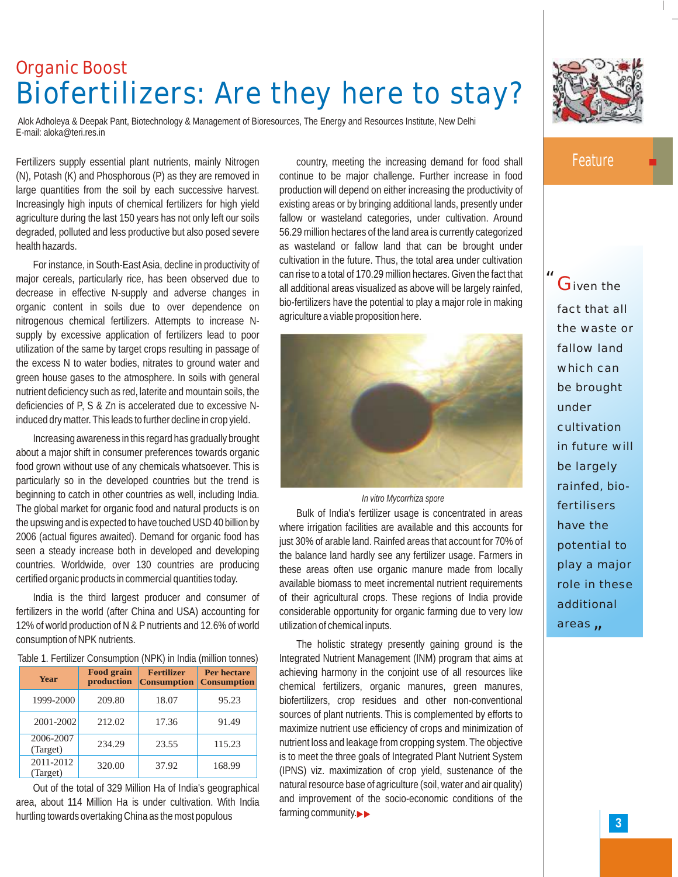# **Organic Boost Biofertilizers: Are they here to stay?**

Alok Adholeya & Deepak Pant, Biotechnology & Management of Bioresources, The Energy and Resources Institute, New Delhi E-mail: aloka@teri.res.in

Fertilizers supply essential plant nutrients, mainly Nitrogen (N), Potash (K) and Phosphorous (P) as they are removed in large quantities from the soil by each successive harvest. Increasingly high inputs of chemical fertilizers for high yield agriculture during the last 150 years has not only left our soils degraded, polluted and less productive but also posed severe health hazards.

For instance, in South-East Asia, decline in productivity of major cereals, particularly rice, has been observed due to decrease in effective N-supply and adverse changes in organic content in soils due to over dependence on nitrogenous chemical fertilizers. Attempts to increase Nsupply by excessive application of fertilizers lead to poor utilization of the same by target crops resulting in passage of the excess N to water bodies, nitrates to ground water and green house gases to the atmosphere. In soils with general nutrient deficiency such as red, laterite and mountain soils, the deficiencies of P, S & Zn is accelerated due to excessive Ninduced dry matter. This leads to further decline in crop yield.

Increasing awareness in this regard has gradually brought about a major shift in consumer preferences towards organic food grown without use of any chemicals whatsoever. This is particularly so in the developed countries but the trend is beginning to catch in other countries as well, including India. The global market for organic food and natural products is on the upswing and is expected to have touched USD 40 billion by 2006 (actual figures awaited). Demand for organic food has seen a steady increase both in developed and developing countries. Worldwide, over 130 countries are producing certified organic products in commercial quantities today.

India is the third largest producer and consumer of fertilizers in the world (after China and USA) accounting for 12% of world production of N & P nutrients and 12.6% of world consumption of NPK nutrients.

Table 1. Fertilizer Consumption (NPK) in India (million tonnes)

| Year                  | <b>Food grain</b><br>production | <b>Fertilizer</b><br><b>Consumption</b> | <b>Per hectare</b><br><b>Consumption</b> |
|-----------------------|---------------------------------|-----------------------------------------|------------------------------------------|
| 1999-2000             | 209.80                          | 18.07                                   | 95.23                                    |
| 2001-2002             | 212.02                          | 17.36                                   | 91.49                                    |
| 2006-2007<br>(Target) | 234.29                          | 23.55                                   | 115.23                                   |
| 2011-2012<br>(Target) | 320.00                          | 37.92                                   | 168.99                                   |

Out of the total of 329 Million Ha of India's geographical area, about 114 Million Ha is under cultivation. With India hurtling towards overtaking China as the most populous

country, meeting the increasing demand for food shall continue to be major challenge. Further increase in food production will depend on either increasing the productivity of existing areas or by bringing additional lands, presently under fallow or wasteland categories, under cultivation. Around 56.29 million hectares of the land area is currently categorized as wasteland or fallow land that can be brought under cultivation in the future. Thus, the total area under cultivation can rise to a total of 170.29 million hectares. Given the fact that all additional areas visualized as above will be largely rainfed, bio-fertilizers have the potential to play a major role in making agriculture a viable proposition here.



#### *In vitro Mycorrhiza spore*

Bulk of India's fertilizer usage is concentrated in areas where irrigation facilities are available and this accounts for just 30% of arable land. Rainfed areas that account for 70% of the balance land hardly see any fertilizer usage. Farmers in these areas often use organic manure made from locally available biomass to meet incremental nutrient requirements of their agricultural crops. These regions of India provide considerable opportunity for organic farming due to very low utilization of chemical inputs.

The holistic strategy presently gaining ground is the Integrated Nutrient Management (INM) program that aims at achieving harmony in the conjoint use of all resources like chemical fertilizers, organic manures, green manures, biofertilizers, crop residues and other non-conventional sources of plant nutrients. This is complemented by efforts to maximize nutrient use efficiency of crops and minimization of nutrient loss and leakage from cropping system. The objective is to meet the three goals of Integrated Plant Nutrient System (IPNS) viz. maximization of crop yield, sustenance of the natural resource base of agriculture (soil, water and air quality) and improvement of the socio-economic conditions of the farming community.



### **Feature**

*"*

*"* areas **G**iven the fact that all the waste or fallow land which can be brought under cultivation in future will be largely rainfed, biofertilisers have the potential to play a major role in these additional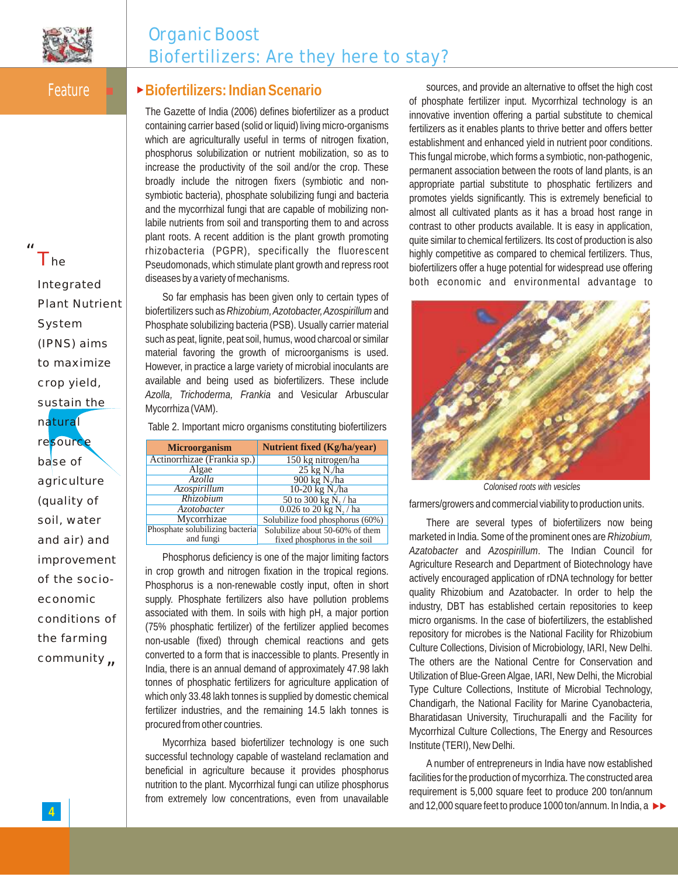

## **Organic Boost Biofertilizers: Are they here to stay?**

Feature

*"*

The

### **▶Biofertilizers: Indian Scenario**

The Gazette of India (2006) defines biofertilizer as a product containing carrier based (solid or liquid) living micro-organisms which are agriculturally useful in terms of nitrogen fixation, phosphorus solubilization or nutrient mobilization, so as to increase the productivity of the soil and/or the crop. These broadly include the nitrogen fixers (symbiotic and nonsymbiotic bacteria), phosphate solubilizing fungi and bacteria and the mycorrhizal fungi that are capable of mobilizing nonlabile nutrients from soil and transporting them to and across plant roots. A recent addition is the plant growth promoting rhizobacteria (PGPR), specifically the fluorescent Pseudomonads, which stimulate plant growth and repress root diseases by a variety of mechanisms.

So far emphasis has been given only to certain types of biofertilizers such as *Rhizobium, Azotobacter, Azospirillum*and Phosphate solubilizing bacteria (PSB). Usually carrier material such as peat, lignite, peat soil, humus, wood charcoal or similar material favoring the growth of microorganisms is used. However, in practice a large variety of microbial inoculants are available and being used as biofertilizers. These include *Azolla, Trichoderma, Frankia* and Vesicular Arbuscular Mycorrhiza (VAM).

Table 2. Important micro organisms constituting biofertilizers

| <b>Microorganism</b>            | <b>Nutrient fixed (Kg/ha/year)</b> |  |
|---------------------------------|------------------------------------|--|
| Actinorrhizae (Frankia sp.)     | 150 kg nitrogen/ha                 |  |
| Algae                           | $25 \text{ kg}$ N $\lambda$ ha     |  |
| Azolla                          | $900 \text{ kg}$ N./ha             |  |
| Azospirillum                    | 10-20 kg $N_{2}$ /ha               |  |
| Rhizobium                       | 50 to 300 kg N, / ha               |  |
| <i>Azotobacter</i>              | 0.026 to 20 kg $\overline{N_2}$ ha |  |
| Mycorrhizae                     | Solubilize food phosphorus (60%)   |  |
| Phosphate solubilizing bacteria | Solubilize about 50-60% of them    |  |
| and fungi                       | fixed phosphorus in the soil       |  |

Phosphorus deficiency is one of the major limiting factors in crop growth and nitrogen fixation in the tropical regions. Phosphorus is a non-renewable costly input, often in short supply. Phosphate fertilizers also have pollution problems associated with them. In soils with high pH, a major portion (75% phosphatic fertilizer) of the fertilizer applied becomes non-usable (fixed) through chemical reactions and gets converted to a form that is inaccessible to plants. Presently in India, there is an annual demand of approximately 47.98 lakh tonnes of phosphatic fertilizers for agriculture application of which only 33.48 lakh tonnes is supplied by domestic chemical fertilizer industries, and the remaining 14.5 lakh tonnes is procured from other countries.

Mycorrhiza based biofertilizer technology is one such successful technology capable of wasteland reclamation and beneficial in agriculture because it provides phosphorus nutrition to the plant. Mycorrhizal fungi can utilize phosphorus from extremely low concentrations, even from unavailable

sources, and provide an alternative to offset the high cost of phosphate fertilizer input. Mycorrhizal technology is an innovative invention offering a partial substitute to chemical fertilizers as it enables plants to thrive better and offers better establishment and enhanced yield in nutrient poor conditions. This fungal microbe, which forms a symbiotic, non-pathogenic, permanent association between the roots of land plants, is an appropriate partial substitute to phosphatic fertilizers and promotes yields significantly. This is extremely beneficial to almost all cultivated plants as it has a broad host range in contrast to other products available. It is easy in application, quite similar to chemical fertilizers. Its cost of production is also highly competitive as compared to chemical fertilizers. Thus, biofertilizers offer a huge potential for widespread use offering both economic and environmental advantage to



*Colonised roots with vesicles*

farmers/growers and commercial viability to production units.

There are several types of biofertilizers now being marketed in India. Some of the prominent ones are *Rhizobium, Azatobacter* and *Azospirillum*. The Indian Council for Agriculture Research and Department of Biotechnology have actively encouraged application of rDNA technology for better quality Rhizobium and Azatobacter. In order to help the industry, DBT has established certain repositories to keep micro organisms. In the case of biofertili*z*ers, the established repository for microbes is the National Facility for Rhizobium Culture Collections, Division of Microbiology, IARI, New Delhi. The others are the National Centre for Conservation and Utili*z*ation of Blue-Green Algae, IARI, New Delhi, the Microbial Type Culture Collections, Institute of Microbial Technology, Chandigarh, the National Facility for Marine Cyanobacteria, Bharatidasan University, Tiruchurapalli and the Facility for Mycorrhizal Culture Collections, The Energy and Resources Institute (TERI), New Delhi.

A number of entrepreneurs in India have now established facilities for the production of mycorrhiza. The constructed area requirement is 5,000 square feet to produce 200 ton/annum and 12,000 square feet to produce 1000 ton/annum. In India, a

*"* community Integrated Plant Nutrient System (IPNS) aims to maximize crop yield, sustain the natural resourc base of agriculture (quality of soil, water and air) and improvement of the socioeconomic conditions of the farming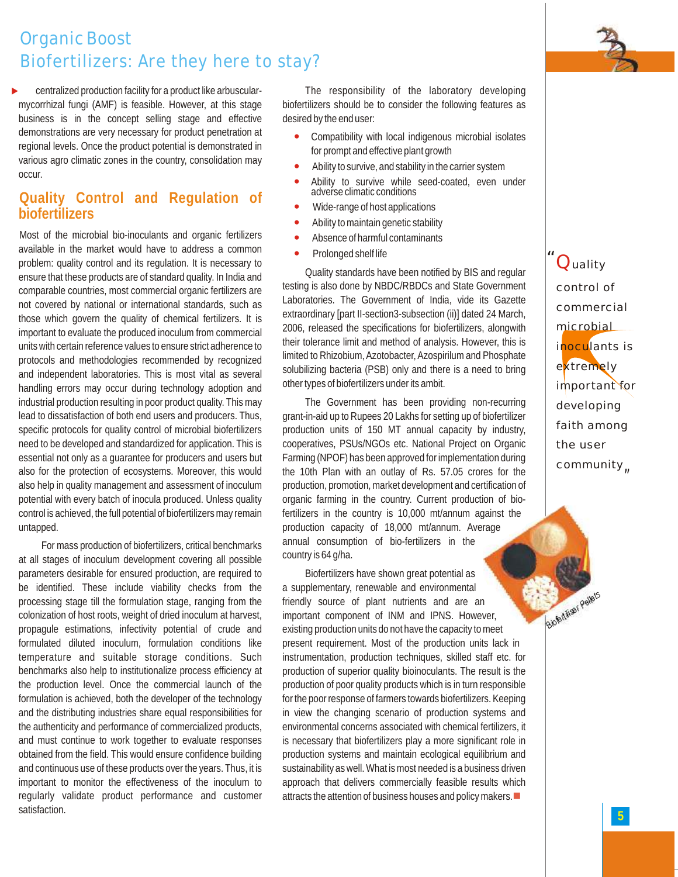*B of rtil ser <sup>e</sup> le <sup>s</sup> i e i P l t*

# **Organic Boost Biofertilizers: Are they here to stay?**

centralized production facility for a product like arbuscularmycorrhizal fungi (AMF) is feasible. However, at this stage business is in the concept selling stage and effective demonstrations are very necessary for product penetration at regional levels. Once the product potential is demonstrated in various agro climatic zones in the country, consolidation may occur.  $\blacktriangleright$ 

## **Quality Control and Regulation of biofertilizers**

Most of the microbial bio-inoculants and organic fertilizers available in the market would have to address a common problem: quality control and its regulation. It is necessary to ensure that these products are of standard quality. In India and comparable countries, most commercial organic fertilizers are not covered by national or international standards, such as those which govern the quality of chemical fertilizers. It is important to evaluate the produced inoculum from commercial units with certain reference values to ensure strict adherence to protocols and methodologies recommended by recognized and independent laboratories. This is most vital as several handling errors may occur during technology adoption and industrial production resulting in poor product quality. This may lead to dissatisfaction of both end users and producers. Thus, specific protocols for quality control of microbial biofertilizers need to be developed and standardized for application. This is essential not only as a guarantee for producers and users but also for the protection of ecosystems. Moreover, this would also help in quality management and assessment of inoculum potential with every batch of inocula produced. Unless quality control is achieved, the full potential of biofertilizers may remain untapped.

For mass production of biofertilizers, critical benchmarks at all stages of inoculum development covering all possible parameters desirable for ensured production, are required to be identified. These include viability checks from the processing stage till the formulation stage, ranging from the colonization of host roots, weight of dried inoculum at harvest, propagule estimations, infectivity potential of crude and formulated diluted inoculum, formulation conditions like temperature and suitable storage conditions. Such benchmarks also help to institutionalize process efficiency at the production level. Once the commercial launch of the formulation is achieved, both the developer of the technology and the distributing industries share equal responsibilities for the authenticity and performance of commercialized products, and must continue to work together to evaluate responses obtained from the field. This would ensure confidence building and continuous use of these products over the years. Thus, it is important to monitor the effectiveness of the inoculum to regularly validate product performance and customer satisfaction.

The responsibility of the laboratory developing biofertilizers should be to consider the following features as desired by the end user:

- Compatibility with local indigenous microbial isolates for prompt and effective plant growth  $\bullet$
- Ability to survive, and stability in the carrier system  $\bullet$
- Ability to survive while seed-coated, even under adverse climatic conditions  $\bullet$
- Wide-range of host applications  $\bullet$
- Ability to maintain genetic stability  $\bullet$
- Absence of harmful contaminants —
- Prolonged shelf life  $\bullet$

Quality standards have been notified by BIS and regular testing is also done by NBDC/RBDCs and State Government Laboratories. The Government of India, vide its Gazette extraordinary [part II-section3-subsection (ii)] dated 24 March, 2006, released the specifications for biofertilizers, alongwith their tolerance limit and method of analysis. However, this is limited to Rhizobium, Azotobacter, Azospirilum and Phosphate solubilizing bacteria (PSB) only and there is a need to bring other types of biofertilizers under its ambit.

The Government has been providing non-recurring grant-in-aid up to Rupees 20 Lakhs for setting up of biofertilizer production units of 150 MT annual capacity by industry, cooperatives, PSUs/NGOs etc. National Project on Organic Farming (NPOF) has been approved for implementation during the 10th Plan with an outlay of Rs. 57.05 crores for the production, promotion, market development and certification of organic farming in the country. Current production of biofertilizers in the country is 10,000 mt/annum against the production capacity of 18,000 mt/annum. Average annual consumption of bio-fertilizers in the country is 64 g/ha.

Biofertilizers have shown great potential as a supplementary, renewable and environmental friendly source of plant nutrients and are an important component of INM and IPNS. However, existing production units do not have the capacity to meet present requirement. Most of the production units lack in instrumentation, production techniques, skilled staff etc. for production of superior quality bioinoculants. The result is the production of poor quality products which is in turn responsible for the poor response of farmers towards biofertilizers. Keeping in view the changing scenario of production systems and environmental concerns associated with chemical fertilizers, it is necessary that biofertilizers play a more significant role in production systems and maintain ecological equilibrium and sustainability as well. What is most needed is a business driven approach that delivers commercially feasible results which attracts the attention of business houses and policy makers.

*"* Quality *"* control of commercial microbial inoculants is extremely important for developing faith among the user community<sub></sub>

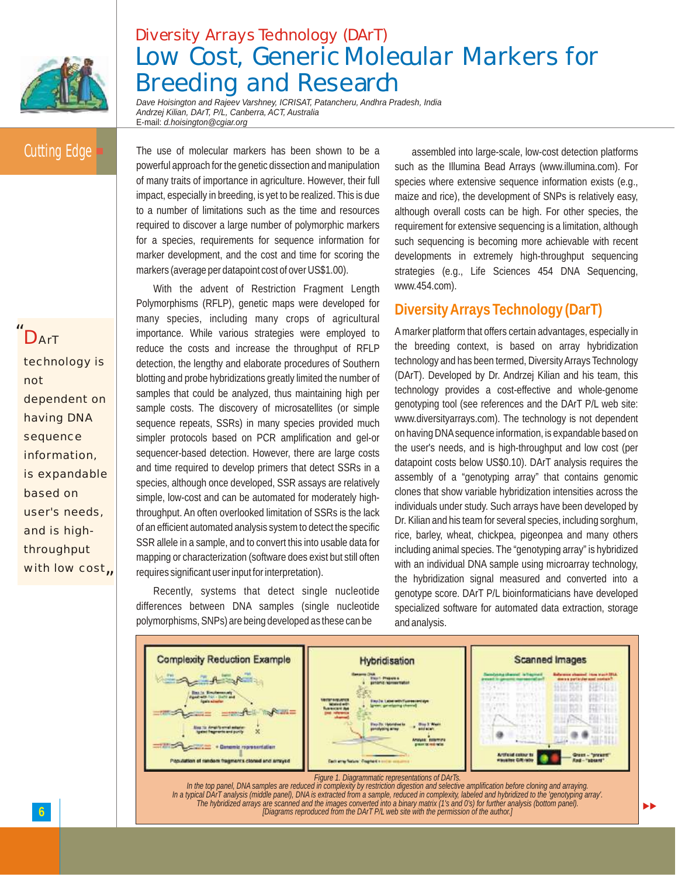

# **Diversity Arrays Technology (DArT) Low Cost, Generic Molecular Markers for Breeding and Research**

*Dave Hoisington and Rajeev Varshney, ICRISAT, Patancheru, Andhra Pradesh, India Andrzej Kilian, DArT, P/L, Canberra, ACT, Australia* E-mail: *d.hoisington@cgiar.org*

## Cutting Edge

*"* DArT

with low cost<sub>n</sub> technology is not dependent on having DNA sequence information, is expandable based on user's needs, and is highthroughput

The use of molecular markers has been shown to be a powerful approach for the genetic dissection and manipulation of many traits of importance in agriculture. However, their full impact, especially in breeding, is yet to be realized. This is due to a number of limitations such as the time and resources required to discover a large number of polymorphic markers for a species, requirements for sequence information for marker development, and the cost and time for scoring the markers (average per datapoint cost of over US\$1.00).

With the advent of Restriction Fragment Length Polymorphisms (RFLP), genetic maps were developed for many species, including many crops of agricultural importance. While various strategies were employed to reduce the costs and increase the throughput of RFLP detection, the lengthy and elaborate procedures of Southern blotting and probe hybridizations greatly limited the number of samples that could be analyzed, thus maintaining high per sample costs. The discovery of microsatellites (or simple sequence repeats, SSRs) in many species provided much simpler protocols based on PCR amplification and gel-or sequencer-based detection. However, there are large costs and time required to develop primers that detect SSRs in a species, although once developed, SSR assays are relatively simple, low-cost and can be automated for moderately highthroughput. An often overlooked limitation of SSRs is the lack of an efficient automated analysis system to detect the specific SSR allele in a sample, and to convert this into usable data for mapping or characterization (software does exist but still often requires significant user input for interpretation).

Recently, systems that detect single nucleotide differences between DNA samples (single nucleotide polymorphisms, SNPs) are being developed as these can be

assembled into large-scale, low-cost detection platforms such as the Illumina Bead Arrays (www.illumina.com). For species where extensive sequence information exists (e.g., maize and rice), the development of SNPs is relatively easy, although overall costs can be high. For other species, the requirement for extensive sequencing is a limitation, although such sequencing is becoming more achievable with recent developments in extremely high-throughput sequencing strategies (e.g., Life Sciences 454 DNA Sequencing, www.454.com).

### **Diversity Arrays Technology (DarT)**

Amarker platform that offers certain advantages, especially in the breeding context, is based on array hybridization technology and has been termed, Diversity Arrays Technology (DArT). Developed by Dr. Andrzej Kilian and his team, this technology provides a cost-effective and whole-genome genotyping tool (see references and the DArT P/L web site: www.diversityarrays.com). The technology is not dependent on having DNAsequence information, is expandable based on the user's needs, and is high-throughput and low cost (per datapoint costs below US\$0.10). DArT analysis requires the assembly of a "genotyping array" that contains genomic clones that show variable hybridization intensities across the individuals under study. Such arrays have been developed by Dr. Kilian and his team for several species, including sorghum, rice, barley, wheat, chickpea, pigeonpea and many others including animal species. The "genotyping array" is hybridized with an individual DNA sample using microarray technology, the hybridization signal measured and converted into a genotype score. DArT P/L bioinformaticians have developed specialized software for automated data extraction, storage and analysis.

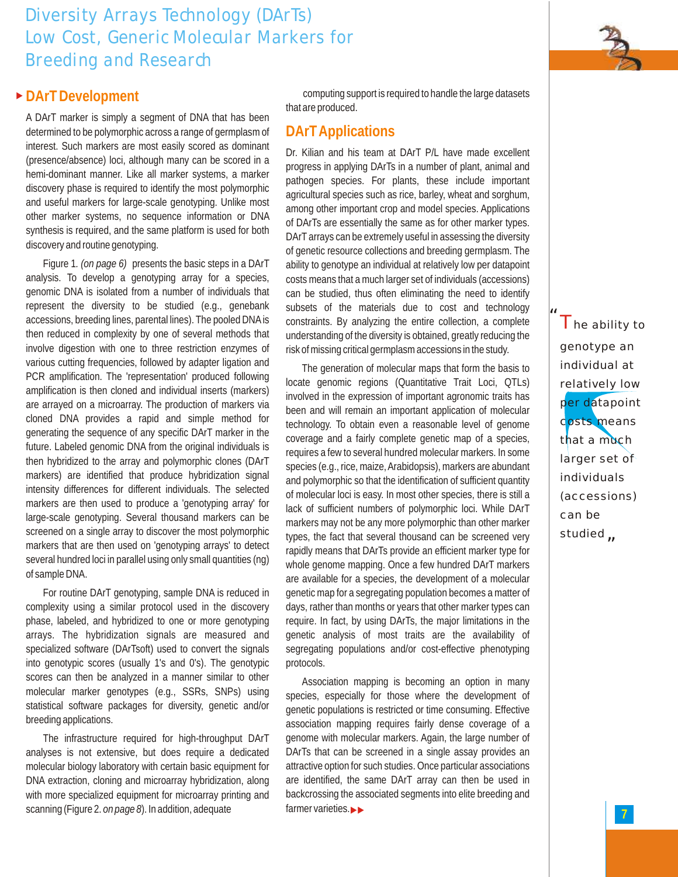# **Diversity Arrays Technology (DArTs) Low Cost, Generic Molecular Markers for Breeding and Research**



### ▶ DArT Development

A DArT marker is simply a segment of DNA that has been determined to be polymorphic across a range of germplasm of interest. Such markers are most easily scored as dominant (presence/absence) loci, although many can be scored in a hemi-dominant manner. Like all marker systems, a marker discovery phase is required to identify the most polymorphic and useful markers for large-scale genotyping. Unlike most other marker systems, no sequence information or DNA synthesis is required, and the same platform is used for both discovery and routine genotyping.

Figure 1*. (on page 6)* presents the basic steps in a DArT analysis. To develop a genotyping array for a species, genomic DNA is isolated from a number of individuals that represent the diversity to be studied (e.g., genebank accessions, breeding lines, parental lines). The pooled DNAis then reduced in complexity by one of several methods that involve digestion with one to three restriction enzymes of various cutting frequencies, followed by adapter ligation and PCR amplification. The 'representation' produced following amplification is then cloned and individual inserts (markers) are arrayed on a microarray. The production of markers via cloned DNA provides a rapid and simple method for generating the sequence of any specific DArT marker in the future. Labeled genomic DNA from the original individuals is then hybridized to the array and polymorphic clones (DArT markers) are identified that produce hybridization signal intensity differences for different individuals. The selected markers are then used to produce a 'genotyping array' for large-scale genotyping. Several thousand markers can be screened on a single array to discover the most polymorphic markers that are then used on 'genotyping arrays' to detect several hundred loci in parallel using only small quantities (ng) of sample DNA.

For routine DArT genotyping, sample DNA is reduced in complexity using a similar protocol used in the discovery phase, labeled, and hybridized to one or more genotyping arrays. The hybridization signals are measured and specialized software (DArTsoft) used to convert the signals into genotypic scores (usually 1's and 0's). The genotypic scores can then be analyzed in a manner similar to other molecular marker genotypes (e.g., SSRs, SNPs) using statistical software packages for diversity, genetic and/or breeding applications.

The infrastructure required for high-throughput DArT analyses is not extensive, but does require a dedicated molecular biology laboratory with certain basic equipment for DNA extraction, cloning and microarray hybridization, along with more specialized equipment for microarray printing and scanning (Figure 2. *on page 8*). In addition, adequate

computing support is required to handle the large datasets that are produced.

#### **DArT Applications**

Dr. Kilian and his team at DArT P/L have made excellent progress in applying DArTs in a number of plant, animal and pathogen species. For plants, these include important agricultural species such as rice, barley, wheat and sorghum, among other important crop and model species. Applications of DArTs are essentially the same as for other marker types. DArT arrays can be extremely useful in assessing the diversity of genetic resource collections and breeding germplasm. The ability to genotype an individual at relatively low per datapoint costs means that a much larger set of individuals (accessions) can be studied, thus often eliminating the need to identify subsets of the materials due to cost and technology constraints. By analyzing the entire collection, a complete understanding of the diversity is obtained, greatly reducing the risk of missing critical germplasm accessions in the study.

The generation of molecular maps that form the basis to locate genomic regions (Quantitative Trait Loci, QTLs) involved in the expression of important agronomic traits has been and will remain an important application of molecular technology. To obtain even a reasonable level of genome coverage and a fairly complete genetic map of a species, requires a few to several hundred molecular markers. In some species (e.g., rice, maize, Arabidopsis), markers are abundant and polymorphic so that the identification of sufficient quantity of molecular loci is easy. In most other species, there is still a lack of sufficient numbers of polymorphic loci. While DArT markers may not be any more polymorphic than other marker types, the fact that several thousand can be screened very rapidly means that DArTs provide an efficient marker type for whole genome mapping. Once a few hundred DArT markers are available for a species, the development of a molecular genetic map for a segregating population becomes a matter of days, rather than months or years that other marker types can require. In fact, by using DArTs, the major limitations in the genetic analysis of most traits are the availability of segregating populations and/or cost-effective phenotyping protocols.

Association mapping is becoming an option in many species, especially for those where the development of genetic populations is restricted or time consuming. Effective association mapping requires fairly dense coverage of a genome with molecular markers. Again, the large number of DArTs that can be screened in a single assay provides an attractive option for such studies. Once particular associations are identified, the same DArT array can then be used in backcrossing the associated segments into elite breeding and farmer varieties.

*"* studied  $\overline{\Gamma}$ he ability to genotype an individual at relatively low per datapoint costs means that a much larger set of individuals (accessions) can be

*"*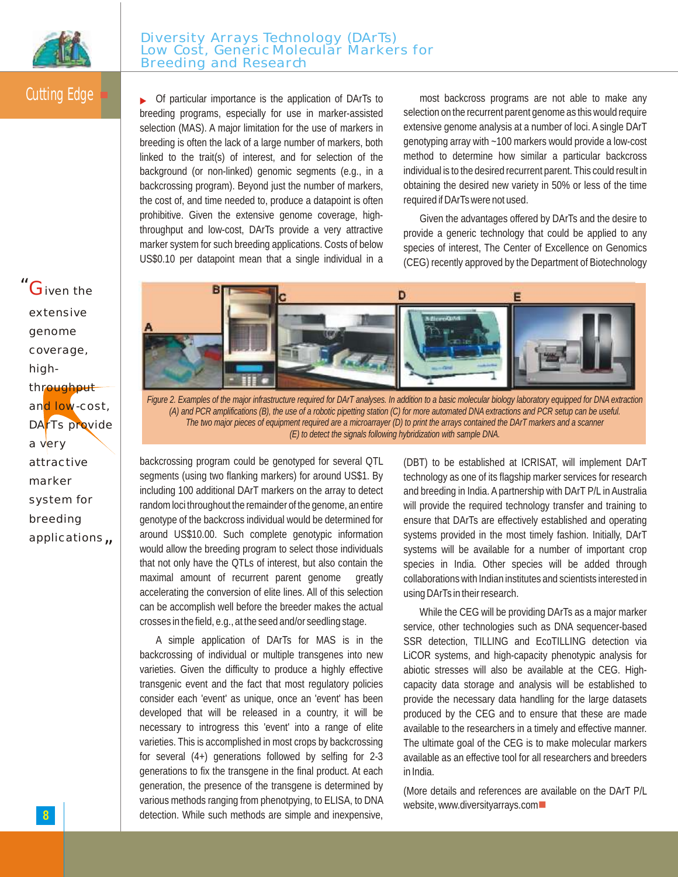

# Cutting Edge

• Of particular importance is the application of DArTs to breeding programs, especially for use in marker-assisted selection (MAS). A major limitation for the use of markers in breeding is often the lack of a large number of markers, both linked to the trait(s) of interest, and for selection of the background (or non-linked) genomic segments (e.g., in a backcrossing program). Beyond just the number of markers, the cost of, and time needed to, produce a datapoint is often prohibitive. Given the extensive genome coverage, highthroughput and low-cost, DArTs provide a very attractive marker system for such breeding applications. Costs of below US\$0.10 per datapoint mean that a single individual in a

most backcross programs are not able to make any selection on the recurrent parent genome as this would require extensive genome analysis at a number of loci. A single DArT genotyping array with ~100 markers would provide a low-cost method to determine how similar a particular backcross individual is to the desired recurrent parent. This could result in obtaining the desired new variety in 50% or less of the time required if DArTs were not used.

Given the advantages offered by DArTs and the desire to provide a generic technology that could be applied to any species of interest, The Center of Excellence on Genomics (CEG) recently approved by the Department of Biotechnology



applications<sub>n</sub> |



Figure 2. Examples of the major infrastructure required for DArT analyses. In addition to a basic molecular biology laboratory equipped for DNA extraction (A) and PCR amplifications (B), the use of a robotic pipetting station (C) for more automated DNA extractions and PCR setup can be useful. The two major pieces of equipment required are a microarrayer (D) to print the arrays contained the DArT markers and a scanner *(E) to detect the signals following hybridization with sample DNA.*

backcrossing program could be genotyped for several QTL segments (using two flanking markers) for around US\$1. By including 100 additional DArT markers on the array to detect random loci throughout the remainder of the genome, an entire genotype of the backcross individual would be determined for around US\$10.00. Such complete genotypic information would allow the breeding program to select those individuals that not only have the QTLs of interest, but also contain the maximal amount of recurrent parent genome greatly accelerating the conversion of elite lines. All of this selection can be accomplish well before the breeder makes the actual crosses in the field, e.g., at the seed and/or seedling stage.

A simple application of DArTs for MAS is in the backcrossing of individual or multiple transgenes into new varieties. Given the difficulty to produce a highly effective transgenic event and the fact that most regulatory policies consider each 'event' as unique, once an 'event' has been developed that will be released in a country, it will be necessary to introgress this 'event' into a range of elite varieties. This is accomplished in most crops by backcrossing for several (4+) generations followed by selfing for 2-3 generations to fix the transgene in the final product. At each generation, the presence of the transgene is determined by various methods ranging from phenotpying, to ELISA, to DNA detection. While such methods are simple and inexpensive,

(DBT) to be established at ICRISAT, will implement DArT technology as one of its flagship marker services for research and breeding in India. A partnership with DArT P/L in Australia will provide the required technology transfer and training to ensure that DArTs are effectively established and operating systems provided in the most timely fashion. Initially, DArT systems will be available for a number of important crop species in India. Other species will be added through collaborations with Indian institutes and scientists interested in using DArTs in their research.

While the CEG will be providing DArTs as a major marker service, other technologies such as DNA sequencer-based SSR detection, TILLING and EcoTILLING detection via LiCOR systems, and high-capacity phenotypic analysis for abiotic stresses will also be available at the CEG. Highcapacity data storage and analysis will be established to provide the necessary data handling for the large datasets produced by the CEG and to ensure that these are made available to the researchers in a timely and effective manner. The ultimate goal of the CEG is to make molecular markers available as an effective tool for all researchers and breeders in India.

(More details and references are available on the DArT P/L website, www.diversityarrays.com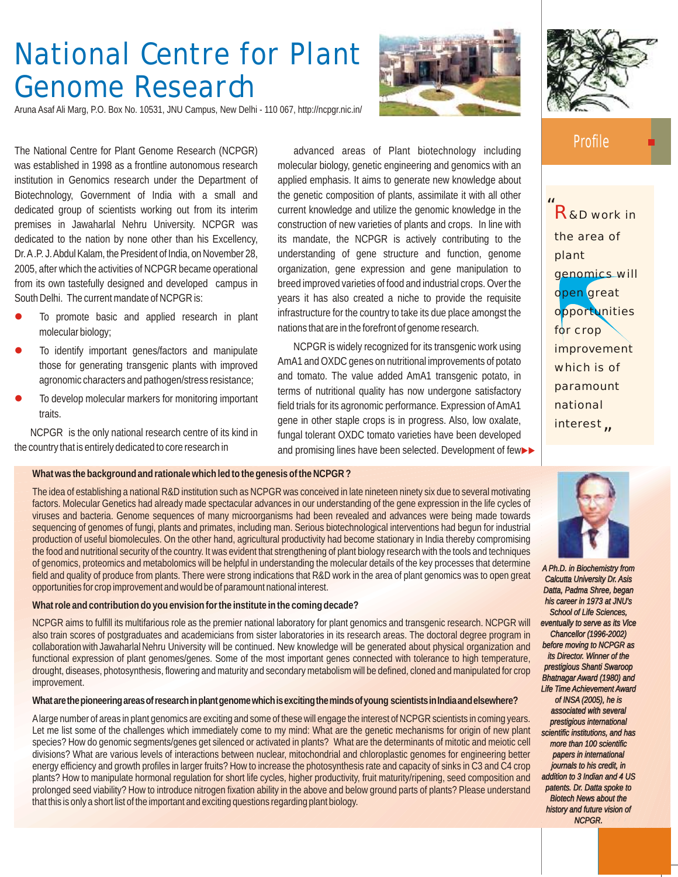# **National Centre for Plant Genome Research**

Aruna Asaf Ali Marg, P.O. Box No. 10531, JNU Campus, New Delhi - 110 067, http://ncpgr.nic.in/

The National Centre for Plant Genome Research (NCPGR) was established in 1998 as a frontline autonomous research institution in Genomics research under the Department of Biotechnology, Government of India with a small and dedicated group of scientists working out from its interim premises in Jawaharlal Nehru University. NCPGR was dedicated to the nation by none other than his Excellency, Dr. A.P. J. Abdul Kalam, the President of India, on November 28, 2005, after which the activities of NCPGR became operational from its own tastefully designed and developed campus in South Delhi. The current mandate of NCPGR is:

- To promote basic and applied research in plant molecular biology;  $\bullet$
- To identify important genes/factors and manipulate those for generating transgenic plants with improved agronomic characters and pathogen/stress resistance;  $\bullet$
- To develop molecular markers for monitoring important traits.  $\bullet$

NCPGR is the only national research centre of its kind in the country that is entirely dedicated to core research in

advanced areas of Plant biotechnology including molecular biology, genetic engineering and genomics with an applied emphasis. It aims to generate new knowledge about the genetic composition of plants, assimilate it with all other current knowledge and utilize the genomic knowledge in the construction of new varieties of plants and crops. In line with its mandate, the NCPGR is actively contributing to the understanding of gene structure and function, genome organization, gene expression and gene manipulation to breed improved varieties of food and industrial crops. Over the years it has also created a niche to provide the requisite infrastructure for the country to take its due place amongst the nations that are in the forefront of genome research.

NCPGR is widely recognized for its transgenic work using AmA1 and OXDC genes on nutritional improvements of potato and tomato. The value added AmA1 transgenic potato, in terms of nutritional quality has now undergone satisfactory field trials for its agronomic performance. Expression of AmA1 gene in other staple crops is in progress. Also, low oxalate, fungal tolerant OXDC tomato varieties have been developed and promising lines have been selected. Development of few>>

#### **What was the background and rationale which led to the genesis of the NCPGR ?**

The idea of establishing a national R&D institution such as NCPGR was conceived in late nineteen ninety six due to several motivating factors. Molecular Genetics had already made spectacular advances in our understanding of the gene expression in the life cycles of viruses and bacteria. Genome sequences of many microorganisms had been revealed and advances were being made towards sequencing of genomes of fungi, plants and primates, including man. Serious biotechnological interventions had begun for industrial production of useful biomolecules. On the other hand, agricultural productivity had become stationary in India thereby compromising the food and nutritional security of the country. It was evident that strengthening of plant biology research with the tools and techniques of genomics, proteomics and metabolomics will be helpful in understanding the molecular details of the key processes that determine field and quality of produce from plants. There were strong indications that R&D work in the area of plant genomics was to open great opportunities for crop improvement and would be of paramount national interest.

**What role and contribution do you envision for the institute in the coming decade?**

NCPGR aims to fulfill its multifarious role as the premier national laboratory for plant genomics and transgenic research. NCPGR will also train scores of postgraduates and academicians from sister laboratories in its research areas. The doctoral degree program in collaboration with Jawaharlal Nehru University will be continued. New knowledge will be generated about physical organization and functional expression of plant genomes/genes. Some of the most important genes connected with tolerance to high temperature, drought, diseases, photosynthesis, flowering and maturity and secondary metabolism will be defined, cloned and manipulated for crop improvement.

**Whatarethepioneeringareasofresearchinplantgenomewhichisexcitingthemindsofyoung scientistsinIndiaandelsewhere?**

Alarge number of areas in plant genomics are exciting and some of these will engage the interest of NCPGR scientists in coming years. Let me list some of the challenges which immediately come to my mind: What are the genetic mechanisms for origin of new plant species? How do genomic segments/genes get silenced or activated in plants? What are the determinants of mitotic and meiotic cell divisions? What are various levels of interactions between nuclear, mitochondrial and chloroplastic genomes for engineering better energy efficiency and growth profiles in larger fruits? How to increase the photosynthesis rate and capacity of sinks in C3 and C4 crop plants? How to manipulate hormonal regulation for short life cycles, higher productivity, fruit maturity/ripening, seed composition and prolonged seed viability? How to introduce nitrogen fixation ability in the above and below ground parts of plants? Please understand that this is only a short list of the important and exciting questions regarding plant biology.



### **Profile**

*"* R&D work in *"* interest the area of plant genomics will open great opportunities for crop improvement which is of paramount national



**9** *history and future vision of A Ph.D. in Biochemistry from Calcutta University Dr. Asis Datta, Padma Shree, began his career in 1973 at JNU's School of Life Sciences, eventually to serve as its Vice Chancellor (1996-2002) before moving to NCPGR as its Director. Winner of the prestigious Shanti Swaroop Bhatnagar Award (1980) and Life Time Achievement Award of INSA (2005), he is associated with several prestigious international scientific institutions, and has more than 100 scientific papers in international journals to his credit, in addition to 3 Indian and 4 US patents. Dr. Datta spoke to Biotech News about the NCPGR.*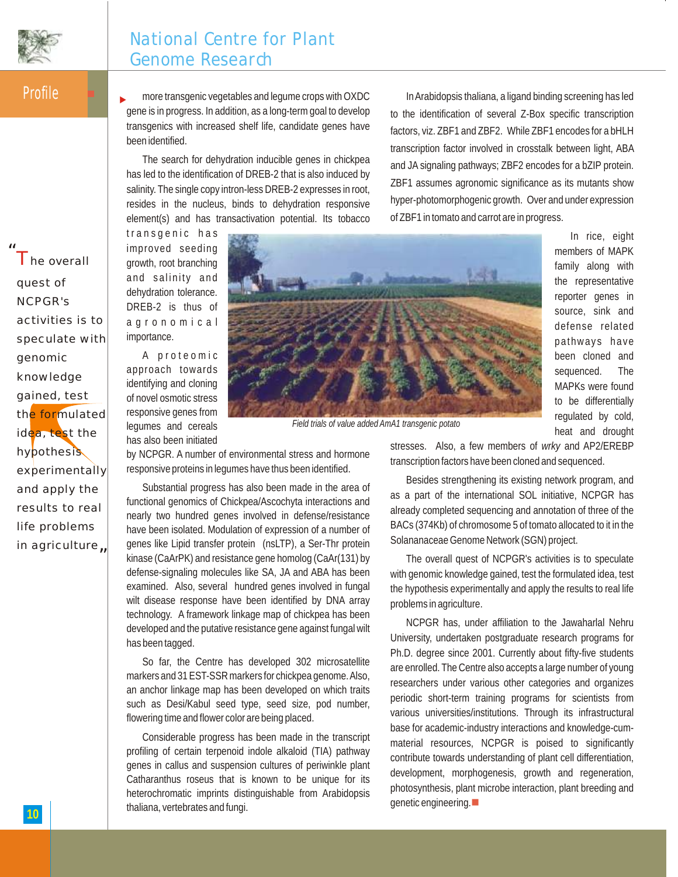

## **National Centre for Plant Genome Research**

**Profile** 

*"* The overall

more transgenic vegetables and legume crops with OXDC gene is in progress. In addition, as a long-term goal to develop transgenics with increased shelf life, candidate genes have been identified.  $\blacktriangleright$ 

The search for dehydration inducible genes in chickpea has led to the identification of DREB-2 that is also induced by salinity. The single copy intron-less DREB-2 expresses in root, resides in the nucleus, binds to dehydration responsive element(s) and has transactivation potential. Its tobacco

In Arabidopsis thaliana, a ligand binding screening has led to the identification of several Z-Box specific transcription factors, viz. ZBF1 and ZBF2. While ZBF1 encodes for a bHLH transcription factor involved in crosstalk between light, ABA and JA signaling pathways; ZBF2 encodes for a bZIP protein. ZBF1 assumes agronomic significance as its mutants show hyper-photomorphogenic growth. Over and under expression of ZBF1 in tomato and carrot are in progress.

transgenic has improved seeding growth, root branching and salinity and dehydration tolerance. DREB-2 is thus of a g r o n o m i c a l importance.

A proteomic approach towards identifying and cloning of novel osmotic stress responsive genes from legumes and cereals has also been initiated



family along with the representative reporter genes in source, sink and defense related pathways have been cloned and sequenced. The MAPKs were found to be differentially regulated by cold, heat and drought stresses. Also, a few members of *wrky* and AP2/EREBP

In rice, eight members of MAPK

*Field trials of value added AmA1 transgenic potato*

by NCPGR. A number of environmental stress and hormone responsive proteins in legumes have thus been identified.

Substantial progress has also been made in the area of functional genomics of Chickpea/Ascochyta interactions and nearly two hundred genes involved in defense/resistance have been isolated. Modulation of expression of a number of genes like Lipid transfer protein (nsLTP), a Ser-Thr protein kinase (CaArPK) and resistance gene homolog (CaAr(131) by defense-signaling molecules like SA, JA and ABA has been examined. Also, several hundred genes involved in fungal wilt disease response have been identified by DNA array technology. A framework linkage map of chickpea has been developed and the putative resistance gene against fungal wilt has been tagged.

So far, the Centre has developed 302 microsatellite markers and 31 EST-SSR markers for chickpea genome. Also, an anchor linkage map has been developed on which traits such as Desi/Kabul seed type, seed size, pod number, flowering time and flower color are being placed.

Considerable progress has been made in the transcript profiling of certain terpenoid indole alkaloid (TIA) pathway genes in callus and suspension cultures of periwinkle plant Catharanthus roseus that is known to be unique for its heterochromatic imprints distinguishable from Arabidopsis thaliana, vertebrates and fungi.

transcription factors have been cloned and sequenced. Besides strengthening its existing network program, and

as a part of the international SOL initiative, NCPGR has already completed sequencing and annotation of three of the BACs (374Kb) of chromosome 5 of tomato allocated to it in the Solananaceae Genome Network (SGN) project.

The overall quest of NCPGR's activities is to speculate with genomic knowledge gained, test the formulated idea, test the hypothesis experimentally and apply the results to real life problems in agriculture.

NCPGR has, under affiliation to the Jawaharlal Nehru University, undertaken postgraduate research programs for Ph.D. degree since 2001. Currently about fifty-five students are enrolled. The Centre also accepts a large number of young researchers under various other categories and organizes periodic short-term training programs for scientists from various universities/institutions. Through its infrastructural base for academic-industry interactions and knowledge-cummaterial resources, NCPGR is poised to significantly contribute towards understanding of plant cell differentiation, development, morphogenesis, growth and regeneration, photosynthesis, plant microbe interaction, plant breeding and  $genetic engineering.$ 

in agriculture<sub>n</sub> quest of NCPGR's activities is to speculate with genomic knowledge gained, test the formulated idea, test the hypothesis experimentally and apply the results to real life problems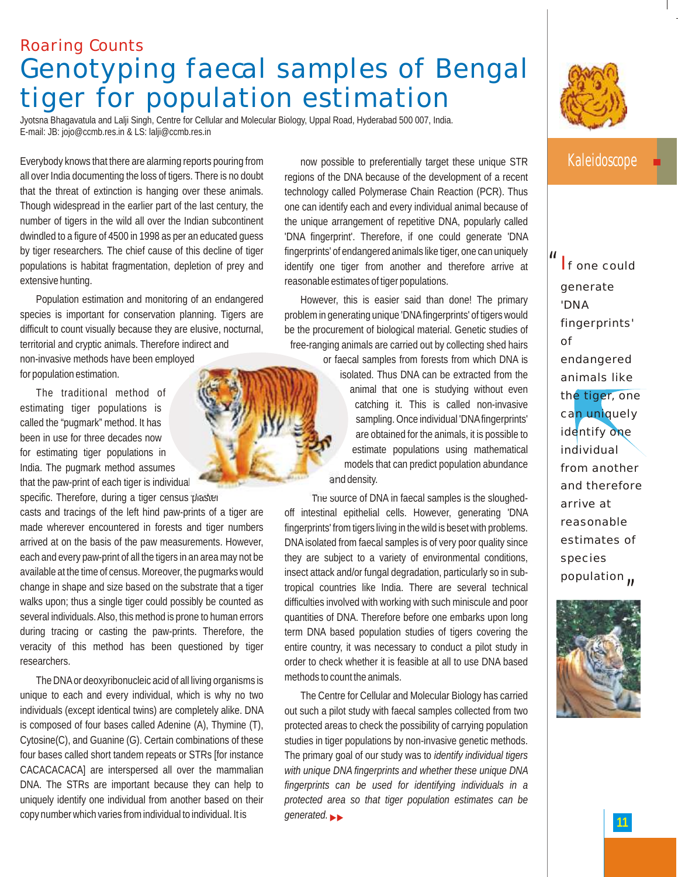# **Roaring Counts Genotyping faecal samples of Bengal tiger for population estimation**

Jyotsna Bhagavatula and Lalji Singh, Centre for Cellular and Molecular Biology, Uppal Road, Hyderabad 500 007, India. E-mail: JB: jojo@ccmb.res.in & LS: lalji@ccmb.res.in

Everybody knows that there are alarming reports pouring from all over India documenting the loss of tigers. There is no doubt that the threat of extinction is hanging over these animals. Though widespread in the earlier part of the last century, the number of tigers in the wild all over the Indian subcontinent dwindled to a figure of 4500 in 1998 as per an educated guess by tiger researchers*.* The chief cause of this decline of tiger populations is habitat fragmentation, depletion of prey and extensive hunting.

Population estimation and monitoring of an endangered species is important for conservation planning. Tigers are difficult to count visually because they are elusive, nocturnal, territorial and cryptic animals. Therefore indirect and

non-invasive methods have been employed for population estimation.

The traditional method of estimating tiger populations is called the "pugmark" method. It has been in use for three decades now for estimating tiger populations in India. The pugmark method assumes that the paw-print of each tiger is individual specific. Therefore, during a tiger census plaster

casts and tracings of the left hind paw-prints of a tiger are made wherever encountered in forests and tiger numbers arrived at on the basis of the paw measurements. However, each and every paw-print of all the tigers in an area may not be available at the time of census. Moreover, the pugmarks would change in shape and size based on the substrate that a tiger walks upon; thus a single tiger could possibly be counted as several individuals. Also, this method is prone to human errors during tracing or casting the paw-prints. Therefore, the veracity of this method has been questioned by tiger researchers.

The DNAor deoxyribonucleic acid of all living organisms is unique to each and every individual, which is why no two individuals (except identical twins) are completely alike. DNA is composed of four bases called Adenine (A), Thymine (T), Cytosine(C), and Guanine (G). Certain combinations of these four bases called short tandem repeats or STRs [for instance CACACACACA] are interspersed all over the mammalian DNA. The STRs are important because they can help to uniquely identify one individual from another based on their copy number which varies from individual to individual. It is

now possible to preferentially target these unique STR regions of the DNA because of the development of a recent technology called Polymerase Chain Reaction (PCR). Thus one can identify each and every individual animal because of the unique arrangement of repetitive DNA, popularly called 'DNA fingerprint'. Therefore, if one could generate 'DNA fingerprints' of endangered animals like tiger, one can uniquely identify one tiger from another and therefore arrive at reasonable estimates of tiger populations.

However, this is easier said than done! The primary problem in generating unique 'DNAfingerprints' of tigers would be the procurement of biological material. Genetic studies of free-ranging animals are carried out by collecting shed hairs

> or faecal samples from forests from which DNA is isolated. Thus DNA can be extracted from the animal that one is studying without even catching it. This is called non-invasive sampling. Once individual 'DNAfingerprints' are obtained for the animals, it is possible to estimate populations using mathematical models that can predict population abundance and density.

The source of DNA in faecal samples is the sloughedoff intestinal epithelial cells. However, generating 'DNA fingerprints' from tigers living in the wild is beset with problems. DNA isolated from faecal samples is of very poor quality since they are subject to a variety of environmental conditions, insect attack and/or fungal degradation, particularly so in subtropical countries like India. There are several technical difficulties involved with working with such miniscule and poor quantities of DNA. Therefore before one embarks upon long term DNA based population studies of tigers covering the entire country, it was necessary to conduct a pilot study in order to check whether it is feasible at all to use DNA based methods to count the animals.

The Centre for Cellular and Molecular Biology has carried out such a pilot study with faecal samples collected from two protected areas to check the possibility of carrying population studies in tiger populations by non-invasive genetic methods. The primary goal of our study was to *identify individual tigers with unique DNA fingerprints and whether these unique DNA fingerprints can be used for identifying individuals in a protected area so that tiger population estimates can be*  generated.



### Kaleidoscope

*"* If one could *"* generate 'DNA fingerprints' of endangered animals like the tiger, one can uniquely identify one individual from another and therefore arrive at reasonable estimates of species population $\mu$ 

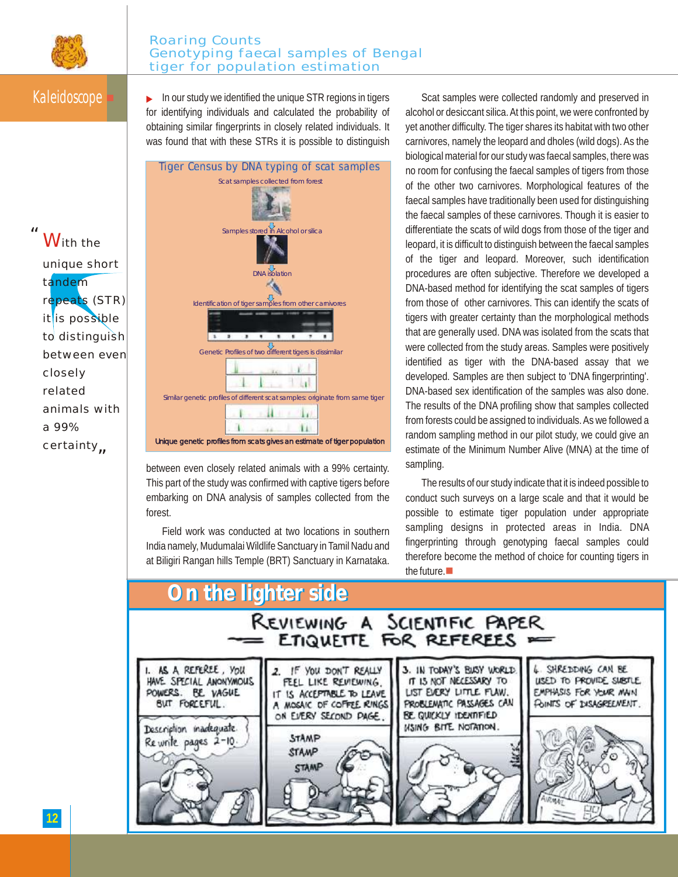

#### **Roaring Counts Genotyping faecal samples of Bengal tiger for population estimation**

With the

tandem

unique short

repeats (STR) it is possible

*"*

Kaleidoscope **In our study we identified the unique STR regions in tigers** for identifying individuals and calculated the probability of obtaining similar fingerprints in closely related individuals. It was found that with these STRs it is possible to distinguish



between even closely related animals with a 99% certainty. This part of the study was confirmed with captive tigers before embarking on DNA analysis of samples collected from the forest.

Field work was conducted at two locations in southern India namely, Mudumalai Wildlife Sanctuary in Tamil Nadu and at Biligiri Rangan hills Temple (BRT) Sanctuary in Karnataka.

Scat samples were collected randomly and preserved in alcohol or desiccant silica. At this point, we were confronted by yet another difficulty. The tiger shares its habitat with two other carnivores, namely the leopard and dholes (wild dogs). As the biological material for our study was faecal samples, there was no room for confusing the faecal samples of tigers from those of the other two carnivores. Morphological features of the faecal samples have traditionally been used for distinguishing the faecal samples of these carnivores. Though it is easier to differentiate the scats of wild dogs from those of the tiger and leopard, it is difficult to distinguish between the faecal samples of the tiger and leopard. Moreover, such identification procedures are often subjective. Therefore we developed a DNA-based method for identifying the scat samples of tigers from those of other carnivores. This can identify the scats of tigers with greater certainty than the morphological methods that are generally used. DNA was isolated from the scats that were collected from the study areas. Samples were positively identified as tiger with the DNA-based assay that we developed. Samples are then subject to 'DNA fingerprinting'. DNA-based sex identification of the samples was also done. The results of the DNA profiling show that samples collected from forests could be assigned to individuals. As we followed a random sampling method in our pilot study, we could give an estimate of the Minimum Number Alive (MNA) at the time of sampling.

The results of our study indicate that it is indeed possible to conduct such surveys on a large scale and that it would be possible to estimate tiger population under appropriate sampling designs in protected areas in India. DNA fingerprinting through genotyping faecal samples could therefore become the method of choice for counting tigers in the future. $\blacksquare$ 



*"* certainty to distinguish between even closely related animals with a 99%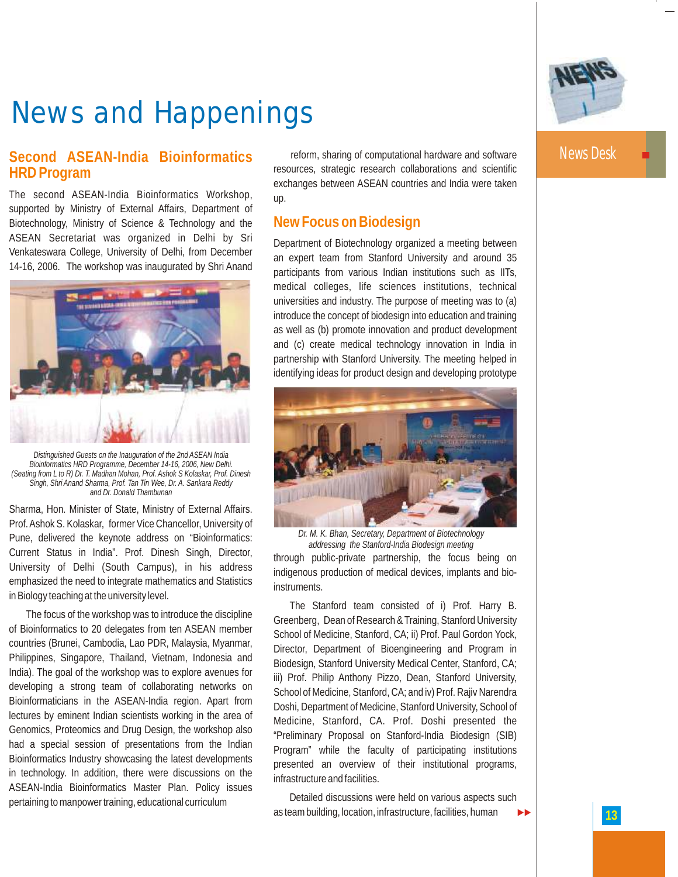

# **News and Happenings**

### **Second ASEAN-India Bioinformatics HRD Program**

The second ASEAN-India Bioinformatics Workshop, supported by Ministry of External Affairs, Department of Biotechnology, Ministry of Science & Technology and the ASEAN Secretariat was organized in Delhi by Sri Venkateswara College, University of Delhi, from December 14-16, 2006. The workshop was inaugurated by Shri Anand



*Distinguished Guests on the Inauguration of the 2nd ASEAN India Bioinformatics HRD Programme, December 14-16, 2006, New Delhi. (Seating from L to R) Dr. T. Madhan Mohan, Prof. Ashok S Kolaskar, Prof. Dinesh Singh, Shri Anand Sharma, Prof. Tan Tin Wee, Dr. A. Sankara Reddy and Dr. Donald Thambunan*

Sharma, Hon. Minister of State, Ministry of External Affairs. Prof. Ashok S. Kolaskar, former Vice Chancellor, University of Pune, delivered the keynote address on "Bioinformatics: Current Status in India". Prof. Dinesh Singh, Director, University of Delhi (South Campus), in his address emphasized the need to integrate mathematics and Statistics in Biology teaching at the university level.

The focus of the workshop was to introduce the discipline of Bioinformatics to 20 delegates from ten ASEAN member countries (Brunei, Cambodia, Lao PDR, Malaysia, Myanmar, Philippines, Singapore, Thailand, Vietnam, Indonesia and India). The goal of the workshop was to explore avenues for developing a strong team of collaborating networks on Bioinformaticians in the ASEAN-India region. Apart from lectures by eminent Indian scientists working in the area of Genomics, Proteomics and Drug Design, the workshop also had a special session of presentations from the Indian Bioinformatics Industry showcasing the latest developments in technology. In addition, there were discussions on the ASEAN-India Bioinformatics Master Plan. Policy issues pertaining to manpower training, educational curriculum

reform, sharing of computational hardware and software resources, strategic research collaborations and scientific exchanges between ASEAN countries and India were taken up.

### **New Focus on Biodesign**

Department of Biotechnology organized a meeting between an expert team from Stanford University and around 35 participants from various Indian institutions such as IITs, medical colleges, life sciences institutions, technical universities and industry. The purpose of meeting was to (a) introduce the concept of biodesign into education and training as well as (b) promote innovation and product development and (c) create medical technology innovation in India in partnership with Stanford University. The meeting helped in identifying ideas for product design and developing prototype



*Dr. M. K. Bhan, Secretary, Department of Biotechnology addressing the Stanford-India Biodesign meeting*

through public-private partnership, the focus being on indigenous production of medical devices, implants and bioinstruments.

The Stanford team consisted of i) Prof. Harry B. Greenberg, Dean of Research & Training, Stanford University School of Medicine, Stanford, CA; ii) Prof. Paul Gordon Yock, Director, Department of Bioengineering and Program in Biodesign, Stanford University Medical Center, Stanford, CA; iii) Prof. Philip Anthony Pizzo, Dean, Stanford University, School of Medicine, Stanford, CA; and iv) Prof. Rajiv Narendra Doshi, Department of Medicine, Stanford University, School of Medicine, Stanford, CA. Prof. Doshi presented the "Preliminary Proposal on Stanford-India Biodesign (SIB) Program" while the faculty of participating institutions presented an overview of their institutional programs, infrastructure and facilities.

Detailed discussions were held on various aspects such as team building, location, infrastructure, facilities, human

News Desk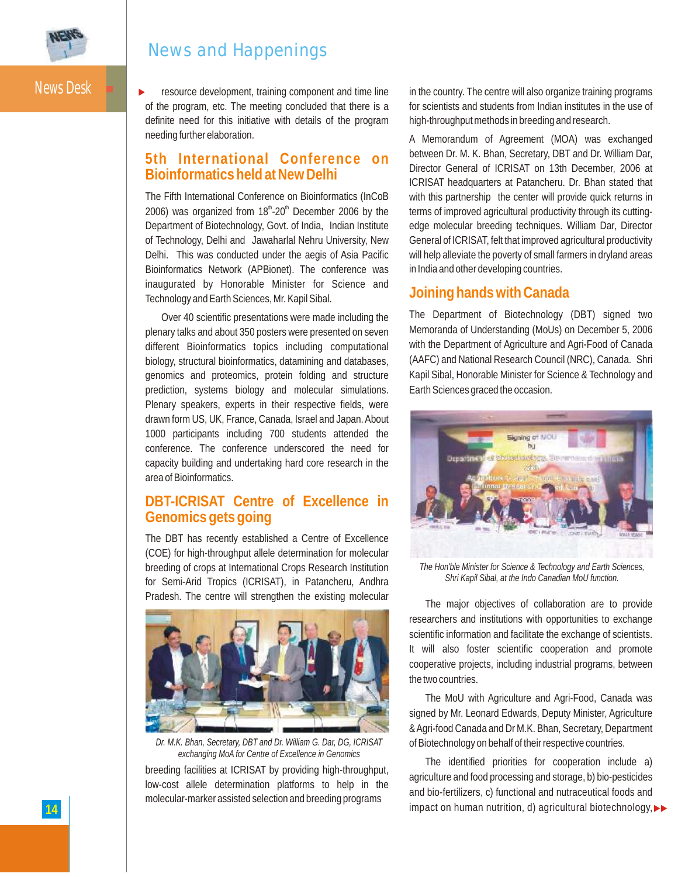

### **News and Happenings**

News Desk

resource development, training component and time line of the program, etc. The meeting concluded that there is a definite need for this initiative with details of the program needing further elaboration.  $\blacktriangleright$ 

#### **5th International Conference on Bioinformatics held at New Delhi**

The Fifth International Conference on Bioinformatics (InCoB 2006) was organized from  $18<sup>th</sup>$ -20<sup>th</sup> December 2006 by the Department of Biotechnology, Govt. of India, Indian Institute of Technology, Delhi and Jawaharlal Nehru University, New Delhi. This was conducted under the aegis of Asia Pacific Bioinformatics Network (APBionet). The conference was inaugurated by Honorable Minister for Science and Technology and Earth Sciences, Mr. Kapil Sibal.

Over 40 scientific presentations were made including the plenary talks and about 350 posters were presented on seven different Bioinformatics topics including computational biology, structural bioinformatics, datamining and databases, genomics and proteomics, protein folding and structure prediction, systems biology and molecular simulations. Plenary speakers, experts in their respective fields, were drawn form US, UK, France, Canada, Israel and Japan. About 1000 participants including 700 students attended the conference. The conference underscored the need for capacity building and undertaking hard core research in the area of Bioinformatics.

#### **DBT-ICRISAT Centre of Excellence in Genomics gets going**

The DBT has recently established a Centre of Excellence (COE) for high-throughput allele determination for molecular breeding of crops at International Crops Research Institution for Semi-Arid Tropics (ICRISAT), in Patancheru, Andhra Pradesh. The centre will strengthen the existing molecular



*Dr. M.K. Bhan, Secretary, DBT and Dr. William G. Dar, DG, ICRISAT exchanging MoA for Centre of Excellence in Genomics*

breeding facilities at ICRISAT by providing high-throughput, low-cost allele determination platforms to help in the molecular-marker assisted selection and breeding programs

in the country. The centre will also organize training programs for scientists and students from Indian institutes in the use of high-throughput methods in breeding and research.

A Memorandum of Agreement (MOA) was exchanged between Dr. M. K. Bhan, Secretary, DBT and Dr. William Dar, Director General of ICRISAT on 13th December, 2006 at ICRISAT headquarters at Patancheru. Dr. Bhan stated that with this partnership the center will provide quick returns in terms of improved agricultural productivity through its cuttingedge molecular breeding techniques. William Dar, Director General of ICRISAT, felt that improved agricultural productivity will help alleviate the poverty of small farmers in dryland areas in India and other developing countries.

#### **Joining hands with Canada**

The Department of Biotechnology (DBT) signed two Memoranda of Understanding (MoUs) on December 5, 2006 with the Department of Agriculture and Agri-Food of Canada (AAFC) and National Research Council (NRC), Canada. Shri Kapil Sibal, Honorable Minister for Science & Technology and Earth Sciences graced the occasion.



*The Hon'ble Minister for Science & Technology and Earth Sciences, Shri Kapil Sibal, at the Indo Canadian MoU function.*

The major objectives of collaboration are to provide researchers and institutions with opportunities to exchange scientific information and facilitate the exchange of scientists. It will also foster scientific cooperation and promote cooperative projects, including industrial programs, between the two countries.

The MoU with Agriculture and Agri-Food, Canada was signed by Mr. Leonard Edwards, Deputy Minister, Agriculture & Agri-food Canada and Dr M.K. Bhan, Secretary, Department of Biotechnology on behalf of their respective countries.

The identified priorities for cooperation include a) agriculture and food processing and storage, b) bio-pesticides and bio-fertilizers, c) functional and nutraceutical foods and **14** impact on human nutrition, d) agricultural biotechnology,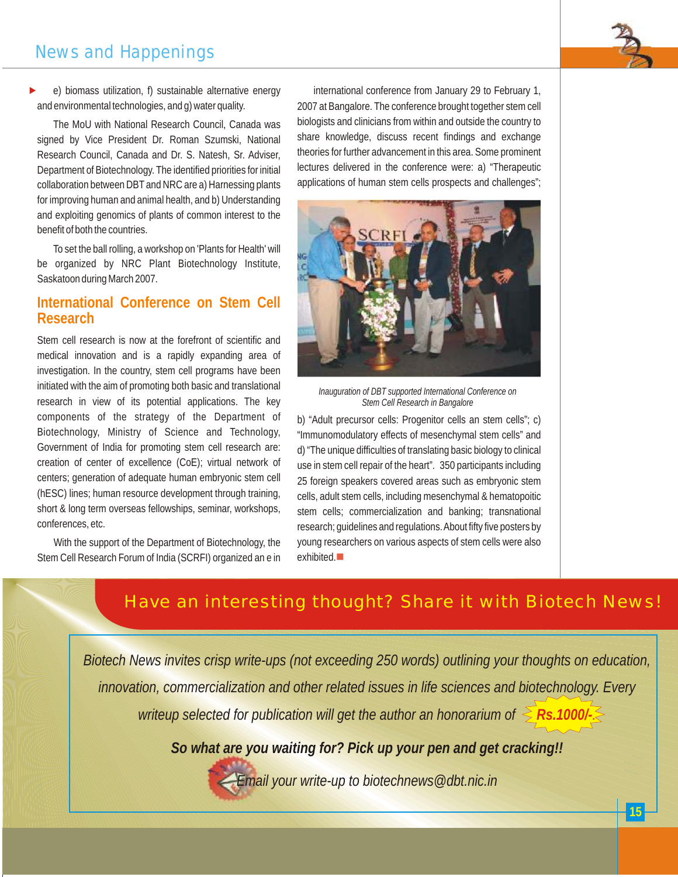#### **15**

# **News and Happenings**

e) biomass utilization, f) sustainable alternative energy and environmental technologies, and g) water quality.  $\blacktriangleright$ 

The MoU with National Research Council, Canada was signed by Vice President Dr. Roman Szumski, National Research Council, Canada and Dr. S. Natesh, Sr. Adviser, Department of Biotechnology. The identified priorities for initial collaboration between DBT and NRC are a) Harnessing plants for improving human and animal health, and b) Understanding and exploiting genomics of plants of common interest to the benefit of both the countries.

To set the ball rolling, a workshop on 'Plants for Health' will be organized by NRC Plant Biotechnology Institute, Saskatoon during March 2007.

### **International Conference on Stem Cell Research**

Stem cell research is now at the forefront of scientific and medical innovation and is a rapidly expanding area of investigation. In the country, stem cell programs have been initiated with the aim of promoting both basic and translational research in view of its potential applications. The key components of the strategy of the Department of Biotechnology, Ministry of Science and Technology, Government of India for promoting stem cell research are: creation of center of excellence (CoE); virtual network of centers; generation of adequate human embryonic stem cell (hESC) lines; human resource development through training, short & long term overseas fellowships, seminar, workshops, conferences, etc.

With the support of the Department of Biotechnology, the Stem Cell Research Forum of India (SCRFI) organized an e in

international conference from January 29 to February 1, 2007 at Bangalore. The conference brought together stem cell biologists and clinicians from within and outside the country to share knowledge, discuss recent findings and exchange theories for further advancement in this area. Some prominent lectures delivered in the conference were: a) "Therapeutic applications of human stem cells prospects and challenges";



b) "Adult precursor cells: Progenitor cells an stem cells"; c) "Immunomodulatory effects of mesenchymal stem cells" and d) "The unique difficulties of translating basic biology to clinical use in stem cell repair of the heart". 350 participants including 25 foreign speakers covered areas such as embryonic stem cells, adult stem cells, including mesenchymal & hematopoitic stem cells; commercialization and banking; transnational research; guidelines and regulations. About fifty five posters by young researchers on various aspects of stem cells were also exhibited.

## Have an interesting thought? Share it with Biotech News!

*Biotech News invites crisp write-ups (not exceeding 250 words) outlining your thoughts on education, innovation, commercialization and other related issues in life sciences and biotechnology. Every writeup selected for publication will get the author an honorarium of*  $\leq$  *Rs.1000/-.* 

*So what are you waiting for? Pick up your pen and get cracking!!*

*Email your write-up to biotechnews@dbt.nic.in*